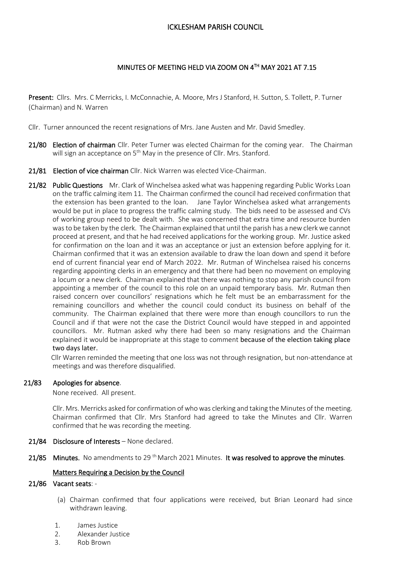# ICKLESHAM PARISH COUNCIL

# MINUTES OF MEETING HELD VIA ZOOM ON 4TH MAY 2021 AT 7.15

Present: Cllrs. Mrs. C Merricks, I. McConnachie, A. Moore, Mrs J Stanford, H. Sutton, S. Tollett, P. Turner (Chairman) and N. Warren

Cllr. Turner announced the recent resignations of Mrs. Jane Austen and Mr. David Smedley.

- 21/80 Election of chairman Cllr. Peter Turner was elected Chairman for the coming year. The Chairman will sign an acceptance on 5<sup>th</sup> May in the presence of Cllr. Mrs. Stanford.
- 21/81 Election of vice chairman Cllr. Nick Warren was elected Vice-Chairman.
- 21/82 Public Questions Mr. Clark of Winchelsea asked what was happening regarding Public Works Loan on the traffic calming item 11. The Chairman confirmed the council had received confirmation that the extension has been granted to the loan. Jane Taylor Winchelsea asked what arrangements would be put in place to progress the traffic calming study. The bids need to be assessed and CVs of working group need to be dealt with. She was concerned that extra time and resource burden was to be taken by the clerk. The Chairman explained that until the parish has a new clerk we cannot proceed at present, and that he had received applications for the working group. Mr. Justice asked for confirmation on the loan and it was an acceptance or just an extension before applying for it. Chairman confirmed that it was an extension available to draw the loan down and spend it before end of current financial year end of March 2022. Mr. Rutman of Winchelsea raised his concerns regarding appointing clerks in an emergency and that there had been no movement on employing a locum or a new clerk. Chairman explained that there was nothing to stop any parish council from appointing a member of the council to this role on an unpaid temporary basis. Mr. Rutman then raised concern over councillors' resignations which he felt must be an embarrassment for the remaining councillors and whether the council could conduct its business on behalf of the community. The Chairman explained that there were more than enough councillors to run the Council and if that were not the case the District Council would have stepped in and appointed councillors. Mr. Rutman asked why there had been so many resignations and the Chairman explained it would be inappropriate at this stage to comment because of the election taking place two days later.

 Cllr Warren reminded the meeting that one loss was not through resignation, but non-attendance at meetings and was therefore disqualified.

### 21/83 Apologies for absence.

None received. All present.

Cllr. Mrs. Merricks asked for confirmation of who was clerking and taking the Minutes of the meeting. Chairman confirmed that Cllr. Mrs Stanford had agreed to take the Minutes and Cllr. Warren confirmed that he was recording the meeting.

- 21/84 Disclosure of Interests None declared.
- 21/85 Minutes. No amendments to 29<sup>th</sup> March 2021 Minutes. It was resolved to approve the minutes.

#### Matters Requiring a Decision by the Council

#### 21/86 Vacant seats: -

- (a) Chairman confirmed that four applications were received, but Brian Leonard had since withdrawn leaving.
- 1. James Justice
- 2. Alexander Justice
- 3. Rob Brown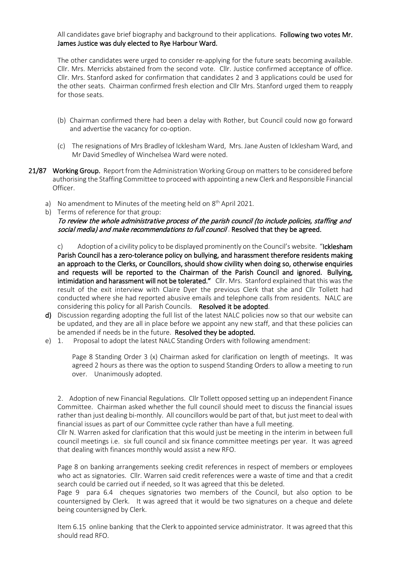All candidates gave brief biography and background to their applications. Following two votes Mr. James Justice was duly elected to Rye Harbour Ward.

The other candidates were urged to consider re-applying for the future seats becoming available. Cllr. Mrs. Merricks abstained from the second vote. Cllr. Justice confirmed acceptance of office. Cllr. Mrs. Stanford asked for confirmation that candidates 2 and 3 applications could be used for the other seats. Chairman confirmed fresh election and Cllr Mrs. Stanford urged them to reapply for those seats.

- (b) Chairman confirmed there had been a delay with Rother, but Council could now go forward and advertise the vacancy for co-option.
- (c) The resignations of Mrs Bradley of Icklesham Ward, Mrs. Jane Austen of Icklesham Ward, and Mr David Smedley of Winchelsea Ward were noted.
- 21/87 Working Group. Report from the Administration Working Group on matters to be considered before authorising the Staffing Committee to proceed with appointing a new Clerk and Responsible Financial Officer.
	- a) No amendment to Minutes of the meeting held on  $8<sup>th</sup>$  April 2021.
	- b) Terms of reference for that group:

To review the whole administrative process of the parish council (to include policies, staffing and social media) and make recommendations to full council. Resolved that they be agreed.

c) Adoption of a civility policy to be displayed prominently on the Council's website. "Icklesham Parish Council has a zero-tolerance policy on bullying, and harassment therefore residents making an approach to the Clerks, or Councillors, should show civility when doing so, otherwise enquiries and requests will be reported to the Chairman of the Parish Council and ignored. Bullying, intimidation and harassment will not be tolerated." Cllr. Mrs. Stanford explained that this was the result of the exit interview with Claire Dyer the previous Clerk that she and Cllr Tollett had conducted where she had reported abusive emails and telephone calls from residents. NALC are considering this policy for all Parish Councils. Resolved it be adopted.

- d) Discussion regarding adopting the full list of the latest NALC policies now so that our website can be updated, and they are all in place before we appoint any new staff, and that these policies can be amended if needs be in the future. Resolved they be adopted.
- e) 1. Proposal to adopt the latest NALC Standing Orders with following amendment:

Page 8 Standing Order 3 (x) Chairman asked for clarification on length of meetings. It was agreed 2 hours as there was the option to suspend Standing Orders to allow a meeting to run over. Unanimously adopted.

2. Adoption of new Financial Regulations. Cllr Tollett opposed setting up an independent Finance Committee. Chairman asked whether the full council should meet to discuss the financial issues rather than just dealing bi-monthly. All councillors would be part of that, but just meet to deal with financial issues as part of our Committee cycle rather than have a full meeting.

Cllr N. Warren asked for clarification that this would just be meeting in the interim in between full council meetings i.e. six full council and six finance committee meetings per year. It was agreed that dealing with finances monthly would assist a new RFO.

Page 8 on banking arrangements seeking credit references in respect of members or employees who act as signatories. Cllr. Warren said credit references were a waste of time and that a credit search could be carried out if needed, so It was agreed that this be deleted.

Page 9 para 6.4 cheques signatories two members of the Council, but also option to be countersigned by Clerk. It was agreed that it would be two signatures on a cheque and delete being countersigned by Clerk.

Item 6.15 online banking that the Clerk to appointed service administrator. It was agreed that this should read RFO.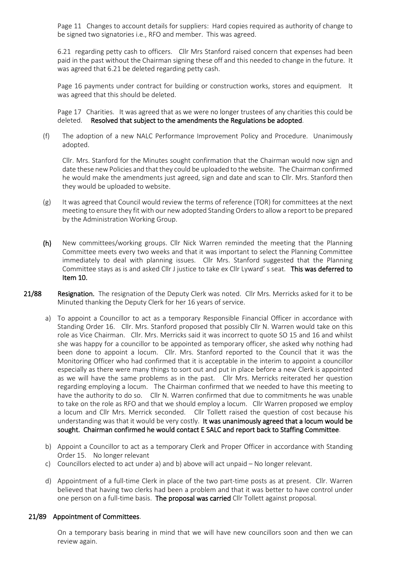Page 11 Changes to account details for suppliers: Hard copies required as authority of change to be signed two signatories i.e., RFO and member. This was agreed.

6.21 regarding petty cash to officers. Cllr Mrs Stanford raised concern that expenses had been paid in the past without the Chairman signing these off and this needed to change in the future. It was agreed that 6.21 be deleted regarding petty cash.

Page 16 payments under contract for building or construction works, stores and equipment. It was agreed that this should be deleted.

Page 17 Charities. It was agreed that as we were no longer trustees of any charities this could be deleted. Resolved that subject to the amendments the Regulations be adopted.

(f) The adoption of a new NALC Performance Improvement Policy and Procedure. Unanimously adopted.

Cllr. Mrs. Stanford for the Minutes sought confirmation that the Chairman would now sign and date these new Policies and that they could be uploaded to the website. The Chairman confirmed he would make the amendments just agreed, sign and date and scan to Cllr. Mrs. Stanford then they would be uploaded to website.

- $(g)$  It was agreed that Council would review the terms of reference (TOR) for committees at the next meeting to ensure they fit with our new adopted Standing Orders to allow a report to be prepared by the Administration Working Group.
- (h) New committees/working groups. Cllr Nick Warren reminded the meeting that the Planning Committee meets every two weeks and that it was important to select the Planning Committee immediately to deal with planning issues. Cllr Mrs. Stanford suggested that the Planning Committee stays as is and asked Cllr J justice to take ex Cllr Lyward' s seat. This was deferred to Item 10.
- 21/88 Resignation. The resignation of the Deputy Clerk was noted. Cllr Mrs. Merricks asked for it to be Minuted thanking the Deputy Clerk for her 16 years of service.
	- a) To appoint a Councillor to act as a temporary Responsible Financial Officer in accordance with Standing Order 16. Cllr. Mrs. Stanford proposed that possibly Cllr N. Warren would take on this role as Vice Chairman. Cllr. Mrs. Merricks said it was incorrect to quote SO 15 and 16 and whilst she was happy for a councillor to be appointed as temporary officer, she asked why nothing had been done to appoint a locum. Cllr. Mrs. Stanford reported to the Council that it was the Monitoring Officer who had confirmed that it is acceptable in the interim to appoint a councillor especially as there were many things to sort out and put in place before a new Clerk is appointed as we will have the same problems as in the past. Cllr Mrs. Merricks reiterated her question regarding employing a locum. The Chairman confirmed that we needed to have this meeting to have the authority to do so. Cllr N. Warren confirmed that due to commitments he was unable to take on the role as RFO and that we should employ a locum. Cllr Warren proposed we employ a locum and Cllr Mrs. Merrick seconded. Cllr Tollett raised the question of cost because his understanding was that it would be very costly. It was unanimously agreed that a locum would be sought. Chairman confirmed he would contact E SALC and report back to Staffing Committee.
	- b) Appoint a Councillor to act as a temporary Clerk and Proper Officer in accordance with Standing Order 15. No longer relevant
	- c) Councillors elected to act under a) and b) above will act unpaid No longer relevant.
	- d) Appointment of a full-time Clerk in place of the two part-time posts as at present. Cllr. Warren believed that having two clerks had been a problem and that it was better to have control under one person on a full-time basis. The proposal was carried Cllr Tollett against proposal.

### 21/89 Appointment of Committees.

On a temporary basis bearing in mind that we will have new councillors soon and then we can review again.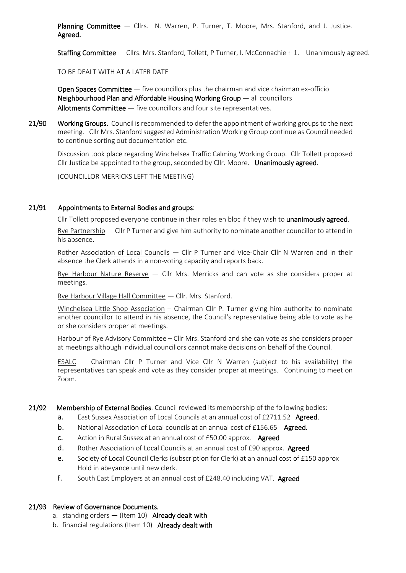**Planning Committee**  $-$  Cllrs. N. Warren, P. Turner, T. Moore, Mrs. Stanford, and J. Justice. Agreed.

Staffing Committee — Cllrs. Mrs. Stanford, Tollett, P Turner, I. McConnachie + 1. Unanimously agreed.

TO BE DEALT WITH AT A LATER DATE

**Open Spaces Committee**  $-$  five councillors plus the chairman and vice chairman ex-officio Neighbourhood Plan and Affordable Housinq Working Group — all councillors Allotments Committee – five councillors and four site representatives.

21/90 Working Groups. Council is recommended to defer the appointment of working groups to the next meeting. Cllr Mrs. Stanford suggested Administration Working Group continue as Council needed to continue sorting out documentation etc.

Discussion took place regarding Winchelsea Traffic Calming Working Group. Cllr Tollett proposed Cllr Justice be appointed to the group, seconded by Cllr. Moore. Unanimously agreed.

(COUNCILLOR MERRICKS LEFT THE MEETING)

### 21/91 Appointments to External Bodies and groups:

Cllr Tollett proposed everyone continue in their roles en bloc if they wish to unanimously agreed.

Rve Partnership — Cllr P Turner and give him authority to nominate another councillor to attend in his absence.

Rother Association of Local Councils — Cllr P Turner and Vice-Chair Cllr N Warren and in their absence the Clerk attends in a non-voting capacity and reports back.

Rye Harbour Nature Reserve  $-$  Cllr Mrs. Merricks and can vote as she considers proper at meetings.

Rve Harbour Village Hall Committee — Cllr. Mrs. Stanford.

Winchelsea Little Shop Association – Chairman Cllr P. Turner giving him authority to nominate another councillor to attend in his absence, the Council's representative being able to vote as he or she considers proper at meetings.

Harbour of Rye Advisory Committee – Cllr Mrs. Stanford and she can vote as she considers proper at meetings although individual councillors cannot make decisions on behalf of the Council.

ESALC — Chairman Cllr P Turner and Vice Cllr N Warren (subject to his availability) the representatives can speak and vote as they consider proper at meetings. Continuing to meet on Zoom.

### 21/92 Membership of External Bodies. Council reviewed its membership of the following bodies:

- a. East Sussex Association of Local Councils at an annual cost of £2711.52 Agreed.
- **b.** National Association of Local councils at an annual cost of £156.65 Agreed.
- c. Action in Rural Sussex at an annual cost of £50.00 approx. Agreed
- d. Rother Association of Local Councils at an annual cost of £90 approx. Agreed
- e. Society of Local Council Clerks (subscription for Clerk) at an annual cost of £150 approx Hold in abeyance until new clerk.
- f. South East Employers at an annual cost of £248.40 including VAT. Agreed

# 21/93 Review of Governance Documents.

- a. standing orders  $-$  (Item 10) Already dealt with
- b. financial regulations (Item 10) Already dealt with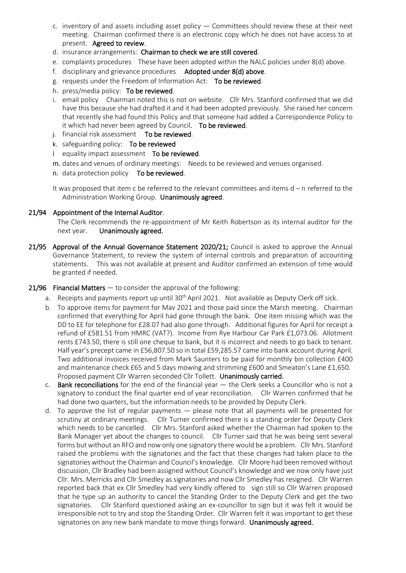- c. inventory of and assets including asset policy  $-$  Committees should review these at their next meeting. Chairman confirmed there is an electronic copy which he does not have access to at present. Agreed to review.
- d. insurance arrangements: Chairman to check we are still covered.
- e. complaints procedures These have been adopted within the NALC policies under 8(d) above.
- f. disciplinary and grievance procedures Adopted under 8(d) above.
- g. requests under the Freedom of Information Act: To be reviewed.
- h. press/media policy: To be reviewed.
- i. email policy Chairman noted this is not on website. Cllr Mrs. Stanford confirmed that we did have this because she had drafted it and it had been adopted previously. She raised her concern that recently she had found this Policy and that someone had added a Correspondence Policy to it which had never been agreed by Council. To be reviewed.
- j. financial risk assessment To be reviewed.
- k. safeguarding policy: To be reviewed
- i equality impact assessment To be reviewed.
- m. dates and venues of ordinary meetings: Needs to be reviewed and venues organised.
- n. data protection policy To be reviewed.

It was proposed that item c be referred to the relevant committees and items d – n referred to the Administration Working Group. Unanimously agreed.

## 21/94 Appointment of the Internal Auditor.

The Clerk recommends the re-appointment of Mr Keith Robertson as its internal auditor for the next year. Unanimously agreed.

21/95 Approval of the Annual Governance Statement 2020/21; Council is asked to approve the Annual Governance Statement, to review the system of internal controls and preparation of accounting statements. This was not available at present and Auditor confirmed an extension of time would be granted if needed.

# 21/96 Financial Matters  $-$  to consider the approval of the following:

- a. Receipts and payments report up until 30<sup>th</sup> April 2021. Not available as Deputy Clerk off sick.
- b. To approve items for payment for Mav 2021 and those paid since the March meeting. Chairman confirmed that everything for April had gone through the bank. One item missing which was the DD to EE for telephone for £28.07 had also gone through. Additional figures for April for receipt a refund of £581.51 from HMRC (VAT?). Income from Rye Harbour Car Park £1,073.06. Allotment rents £743.50, there is still one cheque to bank, but it is incorrect and needs to go back to tenant. Half year's precept came in £56,807.50 so in total £59,285.57 came into bank account during April. Two additional invoices received from Mark Saunters to be paid for monthly bin collection £400 and maintenance check £65 and 5 days mowing and strimming £600 and Smeaton's Lane £1,650. Proposed payment Cllr Warren seconded Cllr Tollett. Unanimously carried.
- c. Bank reconciliations for the end of the financial year the Clerk seeks a Councillor who is not a signatory to conduct the final quarter end of year reconciliation. Cllr Warren confirmed that he had done two quarters, but the information needs to be provided by Deputy Clerk.
- d. To approve the list of regular payments please note that all payments will be presented for scrutiny at ordinary meetings. Cllr Turner confirmed there is a standing order for Deputy Clerk which needs to be cancelled. Cllr Mrs. Stanford asked whether the Chairman had spoken to the Bank Manager yet about the changes to council. Cllr Turner said that he was being sent several forms but without an RFO and now only one signatory there would be a problem. Cllr Mrs. Stanford raised the problems with the signatories and the fact that these changes had taken place to the signatories without the Chairman and Council's knowledge. Cllr Moore had been removed without discussion, Cllr Bradley had been assigned without Council's knowledge and we now only have just Cllr. Mrs. Merricks and Cllr Smedley as signatories and now Cllr Smedley has resigned. Cllr Warren reported back that ex Cllr Smedley had very kindly offered to sign still so Cllr Warren proposed that he type up an authority to cancel the Standing Order to the Deputy Clerk and get the two signatories. Cllr Stanford questioned asking an ex-councillor to sign but it was felt it would be irresponsible not to try and stop the Standing Order. Cllr Warren felt it was important to get these signatories on any new bank mandate to move things forward. Unanimously agreed.